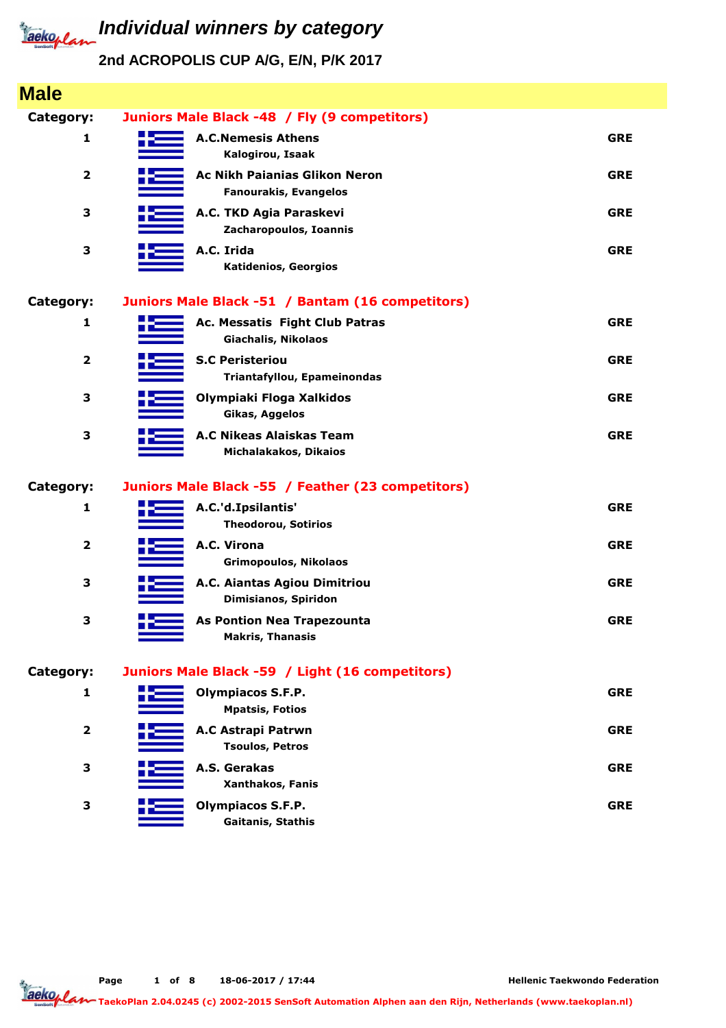

# **Individual winners by category**

### **2nd ACROPOLIS CUP A/G, E/N, P/K 2017**

| <b>Male</b>             |                                                                      |            |
|-------------------------|----------------------------------------------------------------------|------------|
| Category:               | Juniors Male Black -48 / Fly (9 competitors)                         |            |
| 1                       | <b>A.C.Nemesis Athens</b><br>Kalogirou, Isaak                        | <b>GRE</b> |
| $\overline{\mathbf{2}}$ | <b>Ac Nikh Paianias Glikon Neron</b><br><b>Fanourakis, Evangelos</b> | <b>GRE</b> |
| 3                       | A.C. TKD Agia Paraskevi<br>Zacharopoulos, Ioannis                    | <b>GRE</b> |
| 3                       | A.C. Irida<br>Katidenios, Georgios                                   | <b>GRE</b> |
| Category:               | Juniors Male Black -51 / Bantam (16 competitors)                     |            |
| 1                       | Ac. Messatis Fight Club Patras<br><b>Giachalis, Nikolaos</b>         | <b>GRE</b> |
| $\overline{\mathbf{2}}$ | <b>S.C Peristeriou</b><br>Triantafyllou, Epameinondas                | <b>GRE</b> |
| 3                       | Olympiaki Floga Xalkidos<br>Gikas, Aggelos                           | <b>GRE</b> |
| 3                       | <b>A.C Nikeas Alaiskas Team</b><br>Michalakakos, Dikaios             | <b>GRE</b> |
| Category:               | Juniors Male Black -55 / Feather (23 competitors)                    |            |
| 1                       | A.C.'d.Ipsilantis'<br><b>Theodorou, Sotirios</b>                     | <b>GRE</b> |
| $\overline{\mathbf{2}}$ | A.C. Virona<br><b>Grimopoulos, Nikolaos</b>                          | <b>GRE</b> |
| 3                       | A.C. Aiantas Agiou Dimitriou<br>Dimisianos, Spiridon                 | <b>GRE</b> |
| 3                       | <b>As Pontion Nea Trapezounta</b><br><b>Makris, Thanasis</b>         | <b>GRE</b> |
| Category:               | Juniors Male Black -59 / Light (16 competitors)                      |            |
| $\mathbf{1}$            | <b>Olympiacos S.F.P.</b><br><b>Mpatsis, Fotios</b>                   | <b>GRE</b> |
| $\overline{\mathbf{2}}$ | A.C Astrapi Patrwn<br><b>Tsoulos, Petros</b>                         | <b>GRE</b> |
| 3                       | A.S. Gerakas<br>Xanthakos, Fanis                                     | <b>GRE</b> |
| 3                       | <b>Olympiacos S.F.P.</b><br>Gaitanis, Stathis                        | <b>GRE</b> |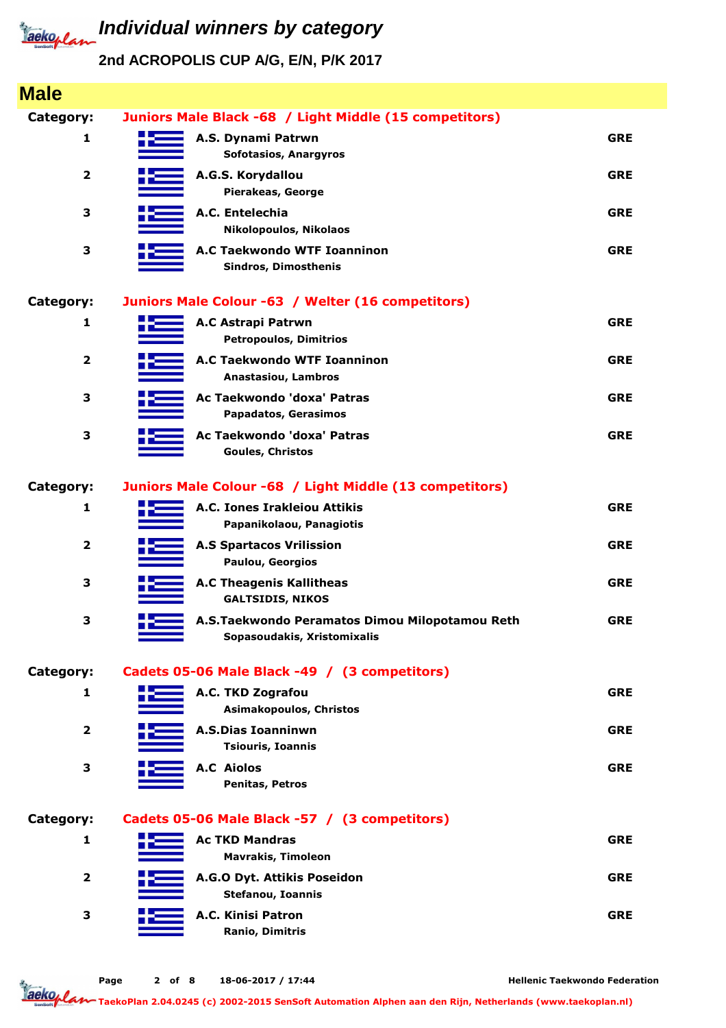

# **Individual winners by category**

#### **2nd ACROPOLIS CUP A/G, E/N, P/K 2017**

| <b>Male</b>             |                                                                        |            |
|-------------------------|------------------------------------------------------------------------|------------|
| Category:               | Juniors Male Black -68 / Light Middle (15 competitors)                 |            |
| 1                       | A.S. Dynami Patrwn                                                     | <b>GRE</b> |
|                         | Sofotasios, Anargyros                                                  |            |
| $\overline{2}$          | A.G.S. Korydallou<br>Pierakeas, George                                 | <b>GRE</b> |
| 3                       | A.C. Entelechia                                                        | <b>GRE</b> |
|                         | <b>Nikolopoulos, Nikolaos</b>                                          |            |
| 3                       | A.C Taekwondo WTF Ioanninon                                            | <b>GRE</b> |
|                         | Sindros, Dimosthenis                                                   |            |
| Category:               | Juniors Male Colour -63 / Welter (16 competitors)                      |            |
| 1                       | A.C Astrapi Patrwn                                                     | <b>GRE</b> |
|                         | <b>Petropoulos, Dimitrios</b>                                          |            |
| $\overline{2}$          | <b>A.C Taekwondo WTF Ioanninon</b><br>Anastasiou, Lambros              | <b>GRE</b> |
| 3                       | Ac Taekwondo 'doxa' Patras                                             | <b>GRE</b> |
|                         | <b>Papadatos, Gerasimos</b>                                            |            |
| 3                       | Ac Taekwondo 'doxa' Patras                                             | <b>GRE</b> |
|                         | Goules, Christos                                                       |            |
| <b>Category:</b>        | Juniors Male Colour -68 / Light Middle (13 competitors)                |            |
| 1                       | A.C. Iones Irakleiou Attikis                                           | <b>GRE</b> |
|                         | Papanikolaou, Panagiotis                                               |            |
| $\overline{\mathbf{2}}$ | <b>A.S Spartacos Vrilission</b><br>Paulou, Georgios                    | <b>GRE</b> |
| 3                       | <b>A.C Theagenis Kallitheas</b>                                        | <b>GRE</b> |
|                         | <b>GALTSIDIS, NIKOS</b>                                                |            |
| 3                       | A.S.Taekwondo Peramatos Dimou Milopotamou Reth                         | <b>GRE</b> |
|                         | Sopasoudakis, Xristomixalis                                            |            |
| Category:               | Cadets 05-06 Male Black -49 / (3 competitors)                          |            |
| 1                       | A.C. TKD Zografou                                                      | <b>GRE</b> |
|                         | <b>Asimakopoulos, Christos</b>                                         |            |
| $\overline{2}$          | <b>A.S.Dias Ioanninwn</b><br><b>Tsiouris, Ioannis</b>                  | <b>GRE</b> |
| 3                       | <b>A.C Aiolos</b>                                                      | <b>GRE</b> |
|                         | Penitas, Petros                                                        |            |
|                         |                                                                        |            |
| Category:<br>1          | Cadets 05-06 Male Black -57 / (3 competitors)<br><b>Ac TKD Mandras</b> | <b>GRE</b> |
|                         | <b>Mavrakis, Timoleon</b>                                              |            |
| $\overline{2}$          | A.G.O Dyt. Attikis Poseidon                                            | <b>GRE</b> |
|                         | Stefanou, Ioannis                                                      |            |
| 3                       | A.C. Kinisi Patron                                                     | <b>GRE</b> |
|                         | Ranio, Dimitris                                                        |            |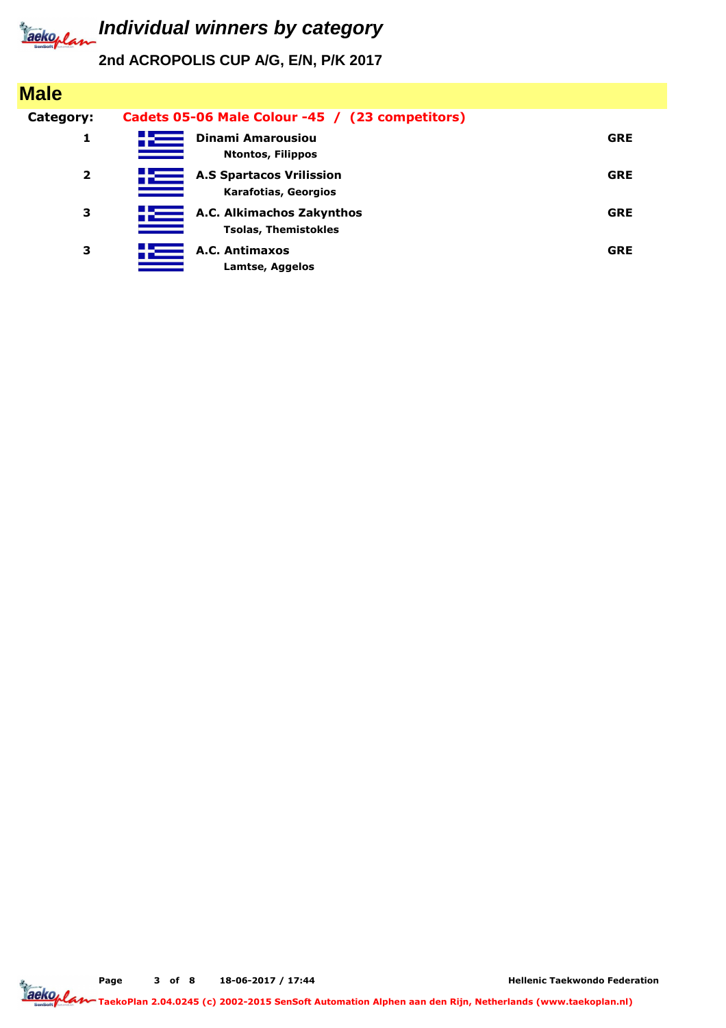**2nd ACROPOLIS CUP A/G, E/N, P/K 2017**

| <b>Male</b>             |                                                                |            |
|-------------------------|----------------------------------------------------------------|------------|
| Category:               | Cadets 05-06 Male Colour -45 / (23 competitors)                |            |
| 1                       | <b>Dinami Amarousiou</b><br><b>Ntontos, Filippos</b>           | <b>GRE</b> |
| $\overline{\mathbf{2}}$ | <b>A.S Spartacos Vrilission</b><br><b>Karafotias, Georgios</b> | <b>GRE</b> |
| 3                       | A.C. Alkimachos Zakynthos<br><b>Tsolas, Themistokles</b>       | <b>GRE</b> |
| 3                       | A.C. Antimaxos<br>Lamtse, Aggelos                              | <b>GRE</b> |

**Page of 8 18-06-2017 / 17:44 3**

**Hellenic Taekwondo Federation**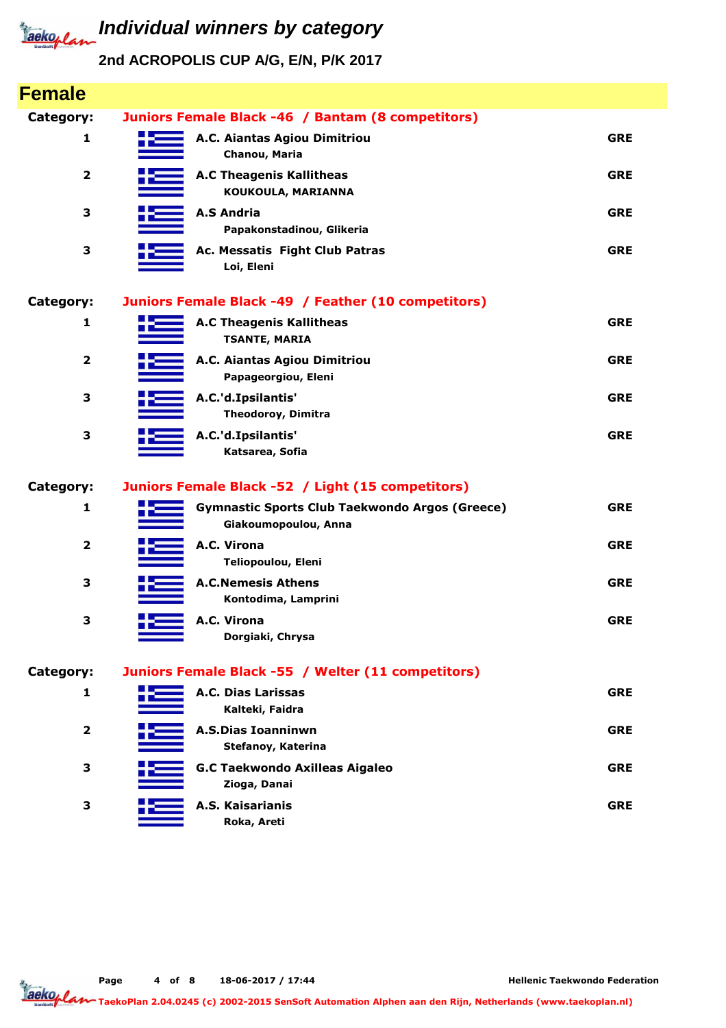

### **2nd ACROPOLIS CUP A/G, E/N, P/K 2017**

| <b>Female</b>           |                                                                               |            |
|-------------------------|-------------------------------------------------------------------------------|------------|
| Category:               | Juniors Female Black -46 / Bantam (8 competitors)                             |            |
| 1                       | A.C. Aiantas Agiou Dimitriou<br>Chanou, Maria                                 | <b>GRE</b> |
| 2                       | <b>A.C Theagenis Kallitheas</b><br>KOUKOULA, MARIANNA                         | <b>GRE</b> |
| 3                       | <b>A.S Andria</b><br>Papakonstadinou, Glikeria                                | <b>GRE</b> |
| 3                       | Ac. Messatis Fight Club Patras<br>Loi, Eleni                                  | <b>GRE</b> |
| Category:               | Juniors Female Black -49 / Feather (10 competitors)                           |            |
| 1                       | <b>A.C Theagenis Kallitheas</b><br><b>TSANTE, MARIA</b>                       | <b>GRE</b> |
| $\overline{\mathbf{2}}$ | A.C. Aiantas Agiou Dimitriou<br>Papageorgiou, Eleni                           | <b>GRE</b> |
| 3                       | A.C.'d.Ipsilantis'<br><b>Theodoroy, Dimitra</b>                               | <b>GRE</b> |
| 3                       | A.C.'d.Ipsilantis'<br>Katsarea, Sofia                                         | <b>GRE</b> |
| Category:               | Juniors Female Black -52 / Light (15 competitors)                             |            |
| 1                       | <b>Gymnastic Sports Club Taekwondo Argos (Greece)</b><br>Giakoumopoulou, Anna | <b>GRE</b> |
| 2                       | A.C. Virona<br>Teliopoulou, Eleni                                             | <b>GRE</b> |
| 3                       | <b>A.C.Nemesis Athens</b><br>Kontodima, Lamprini                              | <b>GRE</b> |
| З                       | A.C. Virona<br>Dorgiaki, Chrysa                                               | <b>GRE</b> |
| Category:               | Juniors Female Black -55 / Welter (11 competitors)                            |            |
| 1                       | <b>A.C. Dias Larissas</b><br>Kalteki, Faidra                                  | <b>GRE</b> |
| 2                       | <b>A.S.Dias Ioanninwn</b><br>Stefanoy, Katerina                               | <b>GRE</b> |
| З                       | <b>G.C Taekwondo Axilleas Aigaleo</b><br>Zioga, Danai                         | <b>GRE</b> |
| 3                       | A.S. Kaisarianis<br>Roka, Areti                                               | <b>GRE</b> |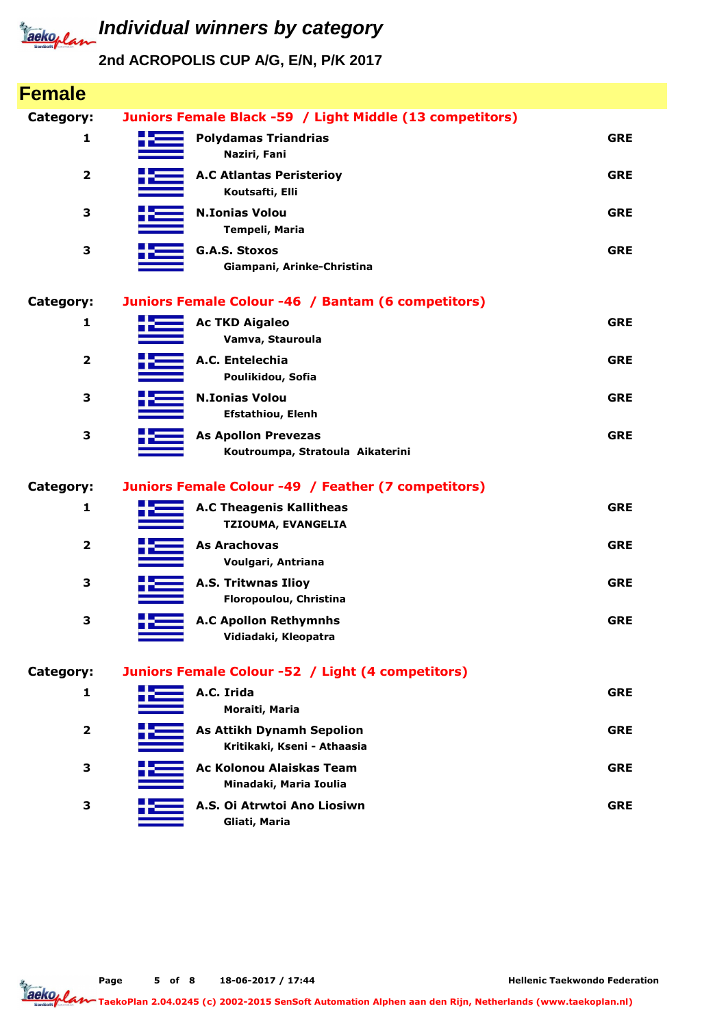

### **2nd ACROPOLIS CUP A/G, E/N, P/K 2017**

| <b>Female</b>           |                                                                 |            |
|-------------------------|-----------------------------------------------------------------|------------|
| Category:               | Juniors Female Black -59 / Light Middle (13 competitors)        |            |
| 1                       | <b>Polydamas Triandrias</b><br>Naziri, Fani                     | <b>GRE</b> |
| $\overline{\mathbf{2}}$ | <b>A.C Atlantas Peristerioy</b><br>Koutsafti, Elli              | <b>GRE</b> |
| 3                       | <b>N.Ionias Volou</b><br>Tempeli, Maria                         | <b>GRE</b> |
| 3                       | <b>G.A.S. Stoxos</b><br>Giampani, Arinke-Christina              | <b>GRE</b> |
| Category:               | Juniors Female Colour -46 / Bantam (6 competitors)              |            |
| $\mathbf{1}$            | <b>Ac TKD Aigaleo</b><br>Vamva, Stauroula                       | <b>GRE</b> |
| $\overline{\mathbf{2}}$ | A.C. Entelechia<br>Poulikidou, Sofia                            | <b>GRE</b> |
| 3                       | <b>N.Ionias Volou</b><br>Efstathiou, Elenh                      | <b>GRE</b> |
| 3                       | <b>As Apollon Prevezas</b><br>Koutroumpa, Stratoula Aikaterini  | <b>GRE</b> |
| Category:               | Juniors Female Colour -49 / Feather (7 competitors)             |            |
| $\mathbf{1}$            | <b>A.C Theagenis Kallitheas</b><br><b>TZIOUMA, EVANGELIA</b>    | <b>GRE</b> |
| $\overline{\mathbf{2}}$ | <b>As Arachovas</b><br>Voulgari, Antriana                       | <b>GRE</b> |
| 3                       | A.S. Tritwnas Ilioy<br>Floropoulou, Christina                   | <b>GRE</b> |
| 3                       | <b>A.C Apollon Rethymnhs</b><br>Vidiadaki, Kleopatra            | <b>GRE</b> |
| Category:               | Juniors Female Colour -52 / Light (4 competitors)               |            |
| 1                       | A.C. Irida<br>Moraiti, Maria                                    | <b>GRE</b> |
| $\overline{\mathbf{2}}$ | <b>As Attikh Dynamh Sepolion</b><br>Kritikaki, Kseni - Athaasia | <b>GRE</b> |
| 3                       | <b>Ac Kolonou Alaiskas Team</b><br>Minadaki, Maria Ioulia       | <b>GRE</b> |
| 3                       | A.S. Oi Atrwtoi Ano Liosiwn                                     | <b>GRE</b> |

**Gliati, Maria A.S. Oi Atrwtoi Ano Liosiwn GRE**

**Page of 8 18-06-2017 / 17:44 5**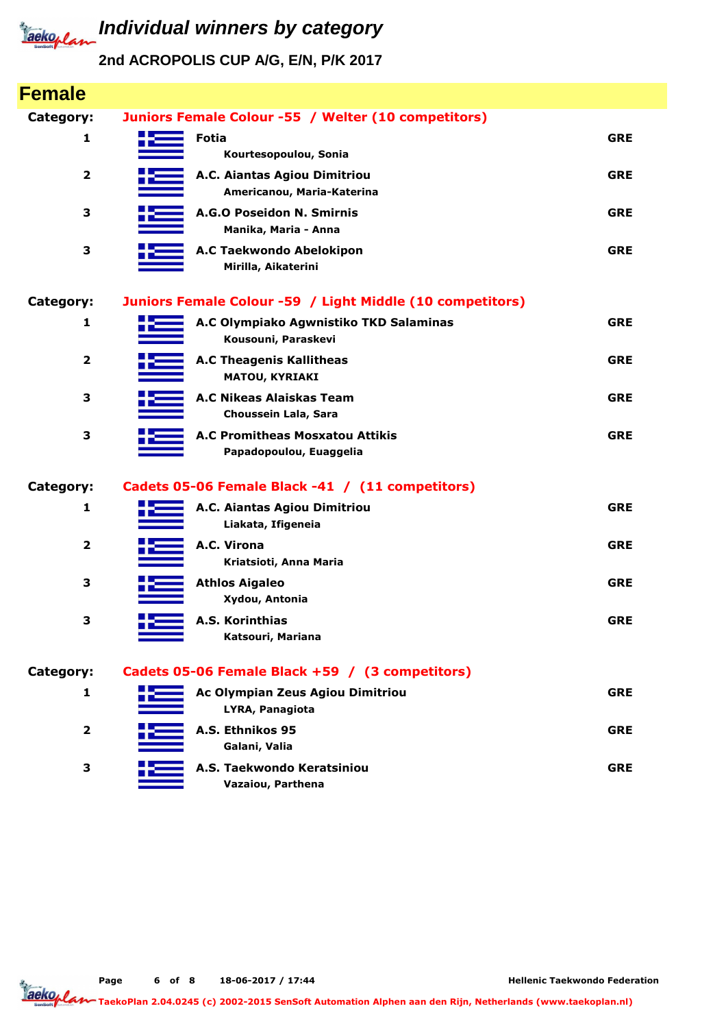

### **2nd ACROPOLIS CUP A/G, E/N, P/K 2017**

| <b>Female</b>           |                                                                   |            |
|-------------------------|-------------------------------------------------------------------|------------|
| Category:               | Juniors Female Colour -55 / Welter (10 competitors)               |            |
| 1                       | Fotia                                                             | <b>GRE</b> |
|                         | Kourtesopoulou, Sonia                                             |            |
| $\overline{\mathbf{2}}$ | A.C. Aiantas Agiou Dimitriou<br>Americanou, Maria-Katerina        | <b>GRE</b> |
| 3                       | A.G.O Poseidon N. Smirnis                                         | <b>GRE</b> |
|                         | Manika, Maria - Anna                                              |            |
| 3                       | A.C Taekwondo Abelokipon<br>Mirilla, Aikaterini                   | <b>GRE</b> |
| <b>Category:</b>        | Juniors Female Colour -59 / Light Middle (10 competitors)         |            |
| 1                       | A.C Olympiako Agwnistiko TKD Salaminas<br>Kousouni, Paraskevi     | <b>GRE</b> |
| $\overline{\mathbf{2}}$ | <b>A.C Theagenis Kallitheas</b><br><b>MATOU, KYRIAKI</b>          | <b>GRE</b> |
| 3                       | A.C Nikeas Alaiskas Team<br>Choussein Lala, Sara                  | <b>GRE</b> |
| 3                       | <b>A.C Promitheas Mosxatou Attikis</b><br>Papadopoulou, Euaggelia | <b>GRE</b> |
| <b>Category:</b>        | Cadets 05-06 Female Black -41 / (11 competitors)                  |            |
| 1                       | A.C. Aiantas Agiou Dimitriou                                      | <b>GRE</b> |
|                         | Liakata, Ifigeneia                                                |            |
| $\overline{\mathbf{2}}$ | A.C. Virona<br>Kriatsioti, Anna Maria                             | <b>GRE</b> |
| 3                       | <b>Athlos Aigaleo</b>                                             | <b>GRE</b> |
|                         | Xydou, Antonia                                                    |            |
| 3                       | A.S. Korinthias<br>Katsouri, Mariana                              | <b>GRE</b> |
| Category:               | Cadets 05-06 Female Black +59 / (3 competitors)                   |            |
| 1                       | Ac Olympian Zeus Agiou Dimitriou<br>LYRA, Panagiota               | <b>GRE</b> |
| $\overline{2}$          | A.S. Ethnikos 95<br>Galani, Valia                                 | <b>GRE</b> |
| 3                       | A.S. Taekwondo Keratsiniou<br>Vazaiou, Parthena                   | <b>GRE</b> |

**Page of 8 18-06-2017 / 17:44 6**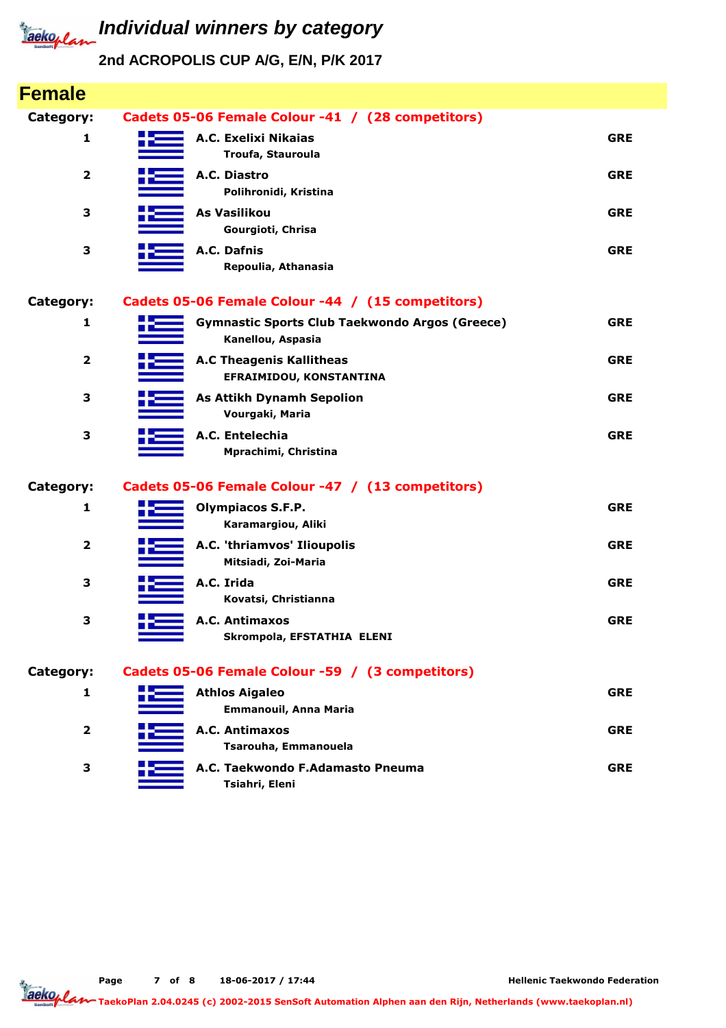

### **2nd ACROPOLIS CUP A/G, E/N, P/K 2017**

| <b>Female</b>           |                                                                            |            |
|-------------------------|----------------------------------------------------------------------------|------------|
| Category:               | Cadets 05-06 Female Colour -41 / (28 competitors)                          |            |
| 1                       | A.C. Exelixi Nikaias<br>Troufa, Stauroula                                  | <b>GRE</b> |
| $\overline{\mathbf{2}}$ | A.C. Diastro<br>Polihronidi, Kristina                                      | <b>GRE</b> |
| 3                       | As Vasilikou<br>Gourgioti, Chrisa                                          | <b>GRE</b> |
| 3                       | A.C. Dafnis<br>Repoulia, Athanasia                                         | <b>GRE</b> |
| Category:               | Cadets 05-06 Female Colour -44 / (15 competitors)                          |            |
| 1                       | <b>Gymnastic Sports Club Taekwondo Argos (Greece)</b><br>Kanellou, Aspasia | <b>GRE</b> |
| 2                       | <b>A.C Theagenis Kallitheas</b><br>EFRAIMIDOU, KONSTANTINA                 | <b>GRE</b> |
| З                       | <b>As Attikh Dynamh Sepolion</b><br>Vourgaki, Maria                        | <b>GRE</b> |
| З                       | A.C. Entelechia<br>Mprachimi, Christina                                    | <b>GRE</b> |
| Category:               | Cadets 05-06 Female Colour -47 / (13 competitors)                          |            |
| 1                       | <b>Olympiacos S.F.P.</b><br>Karamargiou, Aliki                             | <b>GRE</b> |
| 2                       | A.C. 'thriamvos' Ilioupolis<br>Mitsiadi, Zoi-Maria                         | <b>GRE</b> |
| З                       | A.C. Irida<br>Kovatsi, Christianna                                         | <b>GRE</b> |
| 3                       | A.C. Antimaxos<br>Skrompola, EFSTATHIA ELENI                               | <b>GRE</b> |
| Category:               | Cadets 05-06 Female Colour -59 / (3 competitors)                           |            |
| 1                       | <b>Athlos Aigaleo</b><br><b>Emmanouil, Anna Maria</b>                      | <b>GRE</b> |
| $\overline{2}$          | A.C. Antimaxos<br>Tsarouha, Emmanouela                                     | <b>GRE</b> |
| 3                       | A.C. Taekwondo F.Adamasto Pneuma<br>Tsiahri, Eleni                         | <b>GRE</b> |

**Page of 8 18-06-2017 / 17:44 7**

**Hellenic Taekwondo Federation**